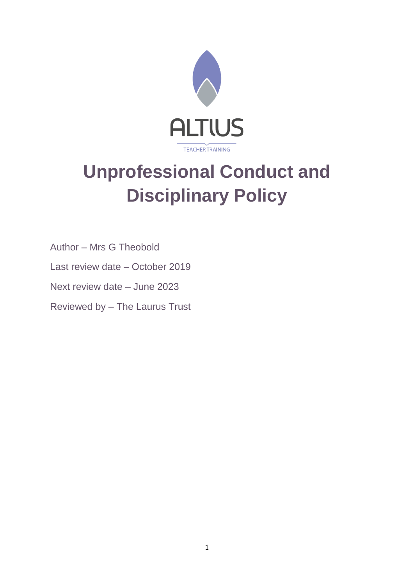

# **Unprofessional Conduct and Disciplinary Policy**

Author – Mrs G Theobold

Last review date – October 2019

Next review date – June 2023

Reviewed by – The Laurus Trust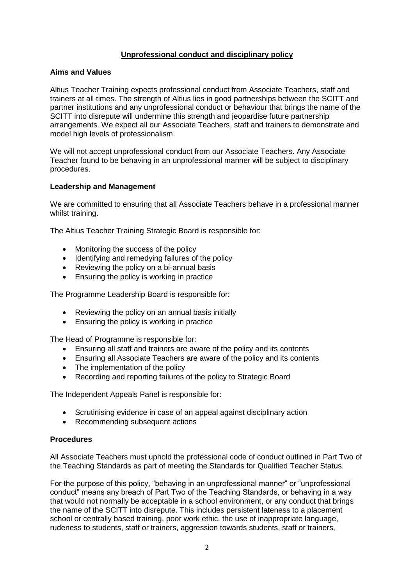## **Unprofessional conduct and disciplinary policy**

## **Aims and Values**

Altius Teacher Training expects professional conduct from Associate Teachers, staff and trainers at all times. The strength of Altius lies in good partnerships between the SCITT and partner institutions and any unprofessional conduct or behaviour that brings the name of the SCITT into disrepute will undermine this strength and jeopardise future partnership arrangements. We expect all our Associate Teachers, staff and trainers to demonstrate and model high levels of professionalism.

We will not accept unprofessional conduct from our Associate Teachers. Any Associate Teacher found to be behaving in an unprofessional manner will be subject to disciplinary procedures.

## **Leadership and Management**

We are committed to ensuring that all Associate Teachers behave in a professional manner whilst training.

The Altius Teacher Training Strategic Board is responsible for:

- Monitoring the success of the policy
- Identifying and remedying failures of the policy
- Reviewing the policy on a bi-annual basis
- Ensuring the policy is working in practice

The Programme Leadership Board is responsible for:

- Reviewing the policy on an annual basis initially
- Ensuring the policy is working in practice

The Head of Programme is responsible for:

- Ensuring all staff and trainers are aware of the policy and its contents
- Ensuring all Associate Teachers are aware of the policy and its contents
- The implementation of the policy
- Recording and reporting failures of the policy to Strategic Board

The Independent Appeals Panel is responsible for:

- Scrutinising evidence in case of an appeal against disciplinary action
- Recommending subsequent actions

#### **Procedures**

All Associate Teachers must uphold the professional code of conduct outlined in Part Two of the Teaching Standards as part of meeting the Standards for Qualified Teacher Status.

For the purpose of this policy, "behaving in an unprofessional manner" or "unprofessional conduct" means any breach of Part Two of the Teaching Standards, or behaving in a way that would not normally be acceptable in a school environment, or any conduct that brings the name of the SCITT into disrepute. This includes persistent lateness to a placement school or centrally based training, poor work ethic, the use of inappropriate language, rudeness to students, staff or trainers, aggression towards students, staff or trainers,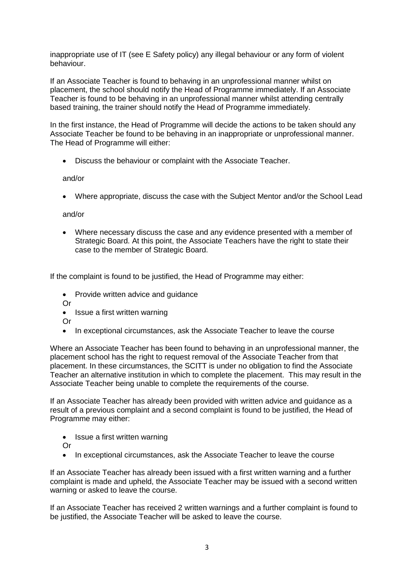inappropriate use of IT (see E Safety policy) any illegal behaviour or any form of violent behaviour.

If an Associate Teacher is found to behaving in an unprofessional manner whilst on placement, the school should notify the Head of Programme immediately. If an Associate Teacher is found to be behaving in an unprofessional manner whilst attending centrally based training, the trainer should notify the Head of Programme immediately.

In the first instance, the Head of Programme will decide the actions to be taken should any Associate Teacher be found to be behaving in an inappropriate or unprofessional manner. The Head of Programme will either:

• Discuss the behaviour or complaint with the Associate Teacher.

and/or

• Where appropriate, discuss the case with the Subject Mentor and/or the School Lead

and/or

• Where necessary discuss the case and any evidence presented with a member of Strategic Board. At this point, the Associate Teachers have the right to state their case to the member of Strategic Board.

If the complaint is found to be justified, the Head of Programme may either:

- Provide written advice and guidance
- Or
- Issue a first written warning

Or

• In exceptional circumstances, ask the Associate Teacher to leave the course

Where an Associate Teacher has been found to behaving in an unprofessional manner, the placement school has the right to request removal of the Associate Teacher from that placement. In these circumstances, the SCITT is under no obligation to find the Associate Teacher an alternative institution in which to complete the placement. This may result in the Associate Teacher being unable to complete the requirements of the course.

If an Associate Teacher has already been provided with written advice and guidance as a result of a previous complaint and a second complaint is found to be justified, the Head of Programme may either:

- Issue a first written warning
- Or
- In exceptional circumstances, ask the Associate Teacher to leave the course

If an Associate Teacher has already been issued with a first written warning and a further complaint is made and upheld, the Associate Teacher may be issued with a second written warning or asked to leave the course.

If an Associate Teacher has received 2 written warnings and a further complaint is found to be justified, the Associate Teacher will be asked to leave the course.